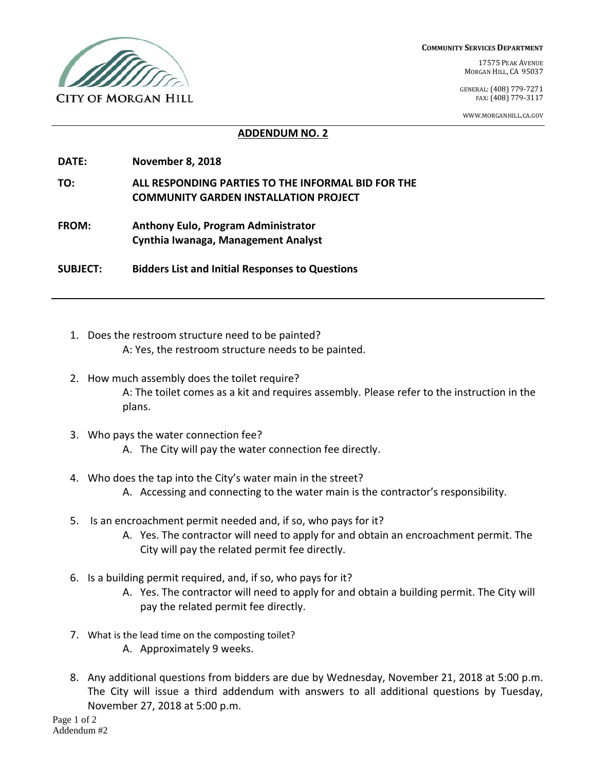

**COMMUNITY SERVICES DEPARTMENT**

17575 PEAK AVENUE MORGAN HILL, CA 95037

GENERAL:(408) 779-7271 FAX:(408) 779-3117

WWW.MORGANHILL.CA.GOV

## **ADDENDUM NO. 2**

- **DATE: November 8, 2018**
- **TO: ALL RESPONDING PARTIES TO THE INFORMAL BID FOR THE COMMUNITY GARDEN INSTALLATION PROJECT**
- **FROM: Anthony Eulo, Program Administrator Cynthia Iwanaga, Management Analyst**

**SUBJECT: Bidders List and Initial Responses to Questions**

- 1. Does the restroom structure need to be painted? A: Yes, the restroom structure needs to be painted.
- 2. How much assembly does the toilet require? A: The toilet comes as a kit and requires assembly. Please refer to the instruction in the plans.
- 3. Who pays the water connection fee?
	- A. The City will pay the water connection fee directly.
- 4. Who does the tap into the City's water main in the street? A. Accessing and connecting to the water main is the contractor's responsibility.
- 5. Is an encroachment permit needed and, if so, who pays for it?
	- A. Yes. The contractor will need to apply for and obtain an encroachment permit. The City will pay the related permit fee directly.
- 6. Is a building permit required, and, if so, who pays for it?
	- A. Yes. The contractor will need to apply for and obtain a building permit. The City will pay the related permit fee directly.
- 7. What is the lead time on the composting toilet?
	- A. Approximately 9 weeks.
- 8. Any additional questions from bidders are due by Wednesday, November 21, 2018 at 5:00 p.m. The City will issue a third addendum with answers to all additional questions by Tuesday, November 27, 2018 at 5:00 p.m.